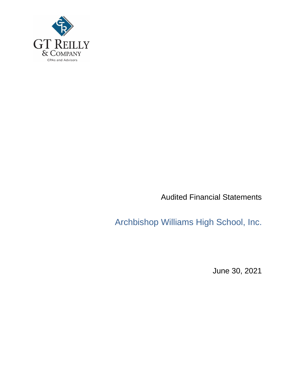

Audited Financial Statements

Archbishop Williams High School, Inc.

June 30, 2021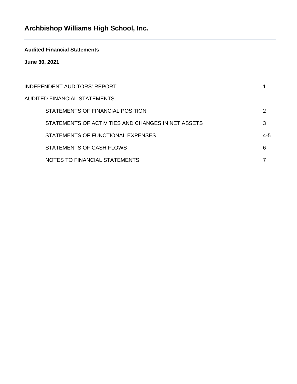# **Archbishop Williams High School, Inc.**

# **Audited Financial Statements**

**June 30, 2021**

| INDEPENDENT AUDITORS' REPORT                       |         |  |  |
|----------------------------------------------------|---------|--|--|
| AUDITED FINANCIAL STATEMENTS                       |         |  |  |
| STATEMENTS OF FINANCIAL POSITION                   |         |  |  |
| STATEMENTS OF ACTIVITIES AND CHANGES IN NET ASSETS | 3       |  |  |
| STATEMENTS OF FUNCTIONAL EXPENSES                  | $4 - 5$ |  |  |
| STATEMENTS OF CASH FLOWS                           | 6       |  |  |
| NOTES TO FINANCIAL STATEMENTS                      |         |  |  |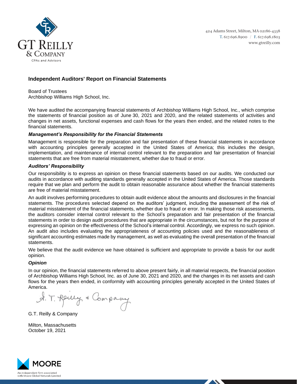

## **Independent Auditors' Report on Financial Statements**

Board of Trustees Archbishop Williams High School, Inc.

We have audited the accompanying financial statements of Archbishop Williams High School, Inc., which comprise the statements of financial position as of June 30, 2021 and 2020, and the related statements of activities and changes in net assets, functional expenses and cash flows for the years then ended, and the related notes to the financial statements.

#### *Management's Responsibility for the Financial Statements*

Management is responsible for the preparation and fair presentation of these financial statements in accordance with accounting principles generally accepted in the United States of America; this includes the design, implementation, and maintenance of internal control relevant to the preparation and fair presentation of financial statements that are free from material misstatement, whether due to fraud or error.

#### *Auditors' Responsibility*

Our responsibility is to express an opinion on these financial statements based on our audits. We conducted our audits in accordance with auditing standards generally accepted in the United States of America. Those standards require that we plan and perform the audit to obtain reasonable assurance about whether the financial statements are free of material misstatement.

An audit involves performing procedures to obtain audit evidence about the amounts and disclosures in the financial statements. The procedures selected depend on the auditors' judgment, including the assessment of the risk of material misstatement of the financial statements, whether due to fraud or error. In making those risk assessments, the auditors consider internal control relevant to the School's preparation and fair presentation of the financial statements in order to design audit procedures that are appropriate in the circumstances, but not for the purpose of expressing an opinion on the effectiveness of the School's internal control. Accordingly, we express no such opinion. An audit also includes evaluating the appropriateness of accounting policies used and the reasonableness of significant accounting estimates made by management, as well as evaluating the overall presentation of the financial statements.

We believe that the audit evidence we have obtained is sufficient and appropriate to provide a basis for our audit opinion.

#### *Opinion*

In our opinion, the financial statements referred to above present fairly, in all material respects, the financial position of Archbishop Williams High School, Inc. as of June 30, 2021 and 2020, and the changes in its net assets and cash flows for the years then ended, in conformity with accounting principles generally accepted in the United States of America.

A. T. Roilly & Company

G.T. Reilly & Company

Milton, Massachusetts October 19, 2021

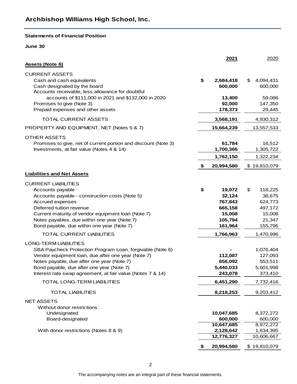#### **Statements of Financial Position**

**June 30**

| <b>Assets (Note 6)</b>                                                                                                                                                                                                                                                                                                                                              | 2021                                                                                      | 2020                                                                                     |
|---------------------------------------------------------------------------------------------------------------------------------------------------------------------------------------------------------------------------------------------------------------------------------------------------------------------------------------------------------------------|-------------------------------------------------------------------------------------------|------------------------------------------------------------------------------------------|
| <b>CURRENT ASSETS</b><br>Cash and cash equivalents<br>Cash designated by the board<br>Accounts receivable, less allowance for doubtful<br>accounts of \$111,000 in 2021 and \$132,000 in 2020<br>Promises to give (Note 3)<br>Prepaid expenses and other assets                                                                                                     | \$<br>2,684,418<br>600,000<br>13,400<br>92,000<br>178,373                                 | 4,094,431<br>S<br>600,000<br>59,086<br>147,350<br>29,445                                 |
| TOTAL CURRENT ASSETS                                                                                                                                                                                                                                                                                                                                                | 3,568,191                                                                                 | 4,930,312                                                                                |
| PROPERTY AND EQUIPMENT, NET (Notes 5 & 7)                                                                                                                                                                                                                                                                                                                           | 15,664,239                                                                                | 13,557,533                                                                               |
| <b>OTHER ASSETS</b><br>Promises to give, net of current portion and discount (Note 3)<br>Investments, at fair value (Notes 4 & 14)                                                                                                                                                                                                                                  | 61,784<br>1,700,366<br>1,762,150<br>20,994,580                                            | 16,512<br>1,305,722<br>1,322,234<br>\$19,810,079                                         |
| <b>Liabilities and Net Assets</b>                                                                                                                                                                                                                                                                                                                                   |                                                                                           |                                                                                          |
| <b>CURRENT LIABILITIES</b><br>Accounts payable<br>Accounts payable - construction costs (Note 5)<br>Accrued expenses<br>Deferred tuition revenue<br>Current maturity of vendor equipment loan (Note 7)<br>Notes payables, due within one year (Note 7)<br>Bond payable, due within one year (Note 7)<br><b>TOTAL CURRENT LIABILITIES</b>                            | \$<br>19,072<br>32,124<br>767,843<br>665,158<br>15,008<br>105,794<br>161,964<br>1,766,963 | S<br>118,225<br>38,675<br>624,773<br>497,172<br>15,008<br>21,347<br>155,796<br>1,470,996 |
| LONG-TERM LIABILITIES<br>SBA Paycheck Protection Program Loan, forgivable (Note 6)<br>Vendor equipment loan, due after one year (Note 7)<br>Notes payable, due after one year (Note 7)<br>Bond payable, due after one year (Note 7)<br>Interest rate swap agreement, at fair value (Notes 7 & 14)<br><b>TOTAL LONG-TERM LIABILITIES</b><br><b>TOTAL LIABILITIES</b> | 112,087<br>656,092<br>5,440,033<br>243,078<br>6,451,290<br>8,218,253                      | 1,076,404<br>127,093<br>553,511<br>5,601,998<br>373,410<br>7,732,416<br>9,203,412        |
| <b>NET ASSETS</b>                                                                                                                                                                                                                                                                                                                                                   |                                                                                           |                                                                                          |
| Without donor restrictions:<br>Undesignated<br>Board-designated<br>With donor restrictions (Notes 8 & 9)                                                                                                                                                                                                                                                            | \$<br>10,047,685<br>600,000<br>10,647,685<br>2,128,642<br>12,776,327<br>20,994,580        | 8,372,272<br>600,000<br>8,972,272<br>1,634,395<br>10,606,667<br>\$19,810,079             |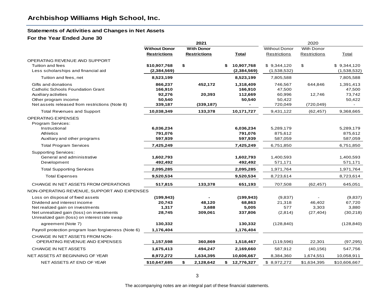## **Statements of Activities and Changes in Net Assets For the Year Ended June 30**

|                                                                                                                                                                                                   | 2021                                              |    |                                 |    |                                                             |                                                  |                                 |                                         |
|---------------------------------------------------------------------------------------------------------------------------------------------------------------------------------------------------|---------------------------------------------------|----|---------------------------------|----|-------------------------------------------------------------|--------------------------------------------------|---------------------------------|-----------------------------------------|
|                                                                                                                                                                                                   | <b>Without Donor</b>                              |    | <b>With Donor</b>               |    |                                                             | <b>Without Donor</b>                             | With Donor                      |                                         |
|                                                                                                                                                                                                   | <b>Restrictions</b>                               |    | <b>Restrictions</b>             |    | <b>Total</b>                                                | Restrictions                                     | Restrictions                    | Total                                   |
| OPERATING REVENUE AND SUPPORT<br>Tuition and fees<br>Less scholarships and financial aid                                                                                                          | \$10,907,768<br>(2,384,569)                       | \$ |                                 | \$ | 10,907,768<br>(2,384,569)                                   | \$9,344,120<br>(1,538,532)                       | \$                              | \$9,344,120<br>(1,538,532)              |
| Tuition and fees, net                                                                                                                                                                             | 8,523,199                                         |    |                                 |    | 8,523,199                                                   | 7,805,588                                        |                                 | 7,805,588                               |
| Gifts and donations<br><b>Catholic Schools Foundation Grant</b><br>Auxiliary activities<br>Other program income<br>Net assets released from restrictions (Note 8)                                 | 866,237<br>166,910<br>92,276<br>50,540<br>339,187 |    | 452,172<br>20,393<br>(339, 187) |    | 1,318,409<br>166,910<br>112,669<br>50,540<br>$\blacksquare$ | 746,567<br>47,500<br>60,996<br>50,422<br>720,049 | 644,846<br>12,746<br>(720, 049) | 1,391,413<br>47,500<br>73,742<br>50,422 |
| <b>Total Revenues and Support</b>                                                                                                                                                                 | 10,038,349                                        |    | 133,378                         |    | 10,171,727                                                  | 9,431,122                                        | (62, 457)                       | 9,368,665                               |
| OPERATING EXPENSES<br>Program Services:<br>Instructional<br>Athletics<br>Auxiliary and other programs                                                                                             | 6,036,234<br>791,076<br>597,939                   |    |                                 |    | 6,036,234<br>791,076<br>597,939                             | 5,289,179<br>875,612<br>587,059                  |                                 | 5,289,179<br>875,612<br>587,059         |
| <b>Total Program Services</b>                                                                                                                                                                     | 7,425,249                                         |    |                                 |    | 7,425,249                                                   | 6,751,850                                        |                                 | 6,751,850                               |
| <b>Supporting Services:</b><br>General and administrative<br>Development                                                                                                                          | 1,602,793<br>492,492                              |    |                                 |    | 1,602,793<br>492,492                                        | 1,400,593<br>571,171                             |                                 | 1,400,593<br>571,171                    |
| <b>Total Supporting Services</b>                                                                                                                                                                  | 2,095,285                                         |    |                                 |    | 2,095,285                                                   | 1,971,764                                        |                                 | 1,971,764                               |
| <b>Total Expenses</b>                                                                                                                                                                             | 9,520,534                                         |    |                                 |    | 9,520,534                                                   | 8,723,614                                        |                                 | 8,723,614                               |
| CHANGE IN NET ASSETS FROM OPERATIONS                                                                                                                                                              | 517,815                                           |    | 133,378                         |    | 651,193                                                     | 707,508                                          | (62, 457)                       | 645,051                                 |
| NON-OPERATING REVENUE, SUPPORT AND EXPENSES                                                                                                                                                       |                                                   |    |                                 |    |                                                             |                                                  |                                 |                                         |
| Loss on disposal of fixed assets<br>Dividend and interest income<br>Net realized gain on investments<br>Net unrealized gain (loss) on investments<br>Unrealized gain (loss) on interest rate swap | (199, 943)<br>20,743<br>1,317<br>28,745           |    | 48,120<br>3,688<br>309,061      |    | (199, 943)<br>68,863<br>5,005<br>337,806                    | (9,837)<br>21,318<br>577<br>(2,814)              | 46,402<br>3,303<br>(27, 404)    | (9,837)<br>67,720<br>3,880<br>(30,218)  |
| agreement (Note 7)                                                                                                                                                                                | 130,332                                           |    |                                 |    | 130,332                                                     | (128, 840)                                       |                                 | (128, 840)                              |
| Payroll protection program Ioan forgiveness (Note 6)                                                                                                                                              | 1,176,404                                         |    |                                 |    | 1,176,404                                                   |                                                  |                                 |                                         |
| CHANGE IN NET ASSETS FROM NON-<br>OPERATING REVENUE AND EXPENSES                                                                                                                                  | 1,157,598                                         |    | 360,869                         |    | 1,518,467                                                   | (119,596)                                        | 22,301                          | (97, 295)                               |
| CHANGE IN NET ASSETS                                                                                                                                                                              | 1,675,413                                         |    | 494,247                         |    | 2,169,660                                                   | 587,912                                          | (40, 156)                       | 547,756                                 |
| NET ASSETS AT BEGINNING OF YEAR                                                                                                                                                                   | 8,972,272                                         |    | 1,634,395                       |    | 10,606,667                                                  | 8,384,360                                        | 1,674,551                       | 10,058,911                              |
| NET ASSETS AT END OF YEAR                                                                                                                                                                         | \$10.647.685                                      | \$ | 2.128.642                       |    | \$12,776,327                                                | \$8,972,272                                      | \$1.634.395                     | \$10,606,667                            |

The accompanying notes are an integral part of these financial statements.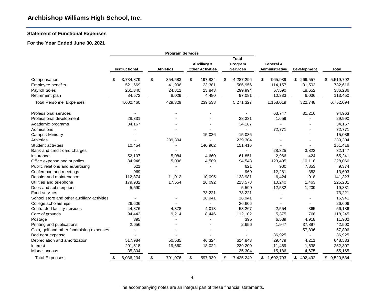## **Statement of Functional Expenses**

## **For the Year Ended June 30, 2021**

|                                             | <b>Program Services</b> |               |    |                  |              |                         |    |                 |                |                          |             |
|---------------------------------------------|-------------------------|---------------|----|------------------|--------------|-------------------------|----|-----------------|----------------|--------------------------|-------------|
|                                             |                         |               |    |                  | <b>Total</b> |                         |    |                 |                |                          |             |
|                                             |                         |               |    |                  |              | <b>Auxiliary &amp;</b>  |    | Program         | General &      |                          |             |
|                                             |                         | Instructional |    | <b>Athletics</b> |              | <b>Other Activities</b> |    | <b>Services</b> | Administrative | Development              | Total       |
| Compensation                                | \$                      | 3,734,879     | \$ | 354,583          | \$           | 197,834                 | \$ | 4,287,296       | \$<br>965,939  | \$ 266,557               | \$5,519,792 |
| Employee benefits                           |                         | 521,669       |    | 41,906           |              | 23,381                  |    | 586,956         | 114,157        | 31,503                   | 732,616     |
| Payroll taxes                               |                         | 261,340       |    | 24,811           |              | 13,843                  |    | 299,994         | 67,590         | 18,652                   | 386,236     |
| Retirement plan                             |                         | 84,572        |    | 8,029            |              | 4,480                   |    | 97,081          | 10,333         | 6,036                    | 113,450     |
| <b>Total Personnel Expenses</b>             |                         | 4,602,460     |    | 429,329          |              | 239,538                 |    | 5,271,327       | 1,158,019      | 322,748                  | 6,752,094   |
| Professional services                       |                         |               |    |                  |              |                         |    |                 | 63,747         | 31,216                   | 94,963      |
| Professional development                    |                         | 28,331        |    |                  |              |                         |    | 28,331          | 1,659          |                          | 29,990      |
| Academic programs                           |                         | 34,167        |    |                  |              |                         |    | 34,167          |                |                          | 34,167      |
| Admissions                                  |                         |               |    |                  |              |                         |    |                 | 72,771         |                          | 72,771      |
| <b>Campus Ministry</b>                      |                         |               |    |                  |              | 15,036                  |    | 15,036          |                |                          | 15,036      |
| <b>Athletics</b>                            |                         |               |    | 239,304          |              |                         |    | 239,304         |                |                          | 239,304     |
| Student activities                          |                         | 10,454        |    |                  |              | 140,962                 |    | 151,416         |                |                          | 151,416     |
| Bank and credit card charges                |                         |               |    |                  |              |                         |    |                 | 28,325         | 3,822                    | 32,147      |
| Insurance                                   |                         | 52,107        |    | 5,084            |              | 4,660                   |    | 61,851          | 2,966          | 424                      | 65,241      |
| Office expense and supplies                 |                         | 84,948        |    | 5,006            |              | 4,589                   |    | 94,543          | 123,405        | 10,118                   | 228,066     |
| Public relations and advertising            |                         | 621           |    |                  |              |                         |    | 621             | 900            | 7,853                    | 9,374       |
| Conference and meetings                     |                         | 969           |    |                  |              |                         |    | 969             | 12,281         | 353                      | 13,603      |
| Repairs and maintenance                     |                         | 112,874       |    | 11,012           |              | 10,095                  |    | 133,981         | 6,424          | 918                      | 141,323     |
| Utilities and telephone                     |                         | 179,932       |    | 17,554           |              | 16,092                  |    | 213,578         | 10,240         | 1,463                    | 225,281     |
| Dues and subscriptions                      |                         | 5,590         |    |                  |              |                         |    | 5,590           | 12,532         | 1,209                    | 19,331      |
| Food services                               |                         |               |    |                  |              | 73,221                  |    | 73,221          | $\overline{a}$ | $\overline{a}$           | 73,221      |
| School store and other auxiliary activities |                         |               |    |                  |              | 16,941                  |    | 16,941          |                |                          | 16,941      |
| College scholarships                        |                         | 26,606        |    |                  |              |                         |    | 26,606          |                |                          | 26,606      |
| Contracted facility services                |                         | 44,876        |    | 4,378            |              | 4,013                   |    | 53,267          | 2,554          | 365                      | 56,186      |
| Care of grounds                             |                         | 94,442        |    | 9,214            |              | 8,446                   |    | 112,102         | 5,375          | 768                      | 118,245     |
| Postage                                     |                         | 395           |    |                  |              |                         |    | 395             | 6,589          | 4,918                    | 11,902      |
| Printing and publications                   |                         | 2,656         |    |                  |              |                         |    | 2,656           | 1,947          | 37,897                   | 42,500      |
| Gala, golf and other fundraising expenses   |                         |               |    |                  |              |                         |    |                 | $\blacksquare$ | 57,896                   | 57,896      |
| Bad debt expense                            |                         |               |    |                  |              |                         |    |                 | 36,925         | $\overline{\phantom{a}}$ | 36,925      |
| Depreciation and amortization               |                         | 517,984       |    | 50,535           |              | 46,324                  |    | 614,843         | 29,479         | 4,211                    | 648,533     |
| Interest                                    |                         | 201,518       |    | 19,660           |              | 18,022                  |    | 239,200         | 11,469         | 1,638                    | 252,307     |
| Miscellaneous                               |                         | 35,304        |    |                  |              |                         |    | 35,304          | 15,186         | 4,675                    | 55,165      |
| <b>Total Expenses</b>                       | \$                      | 6,036,234     | \$ | 791,076          | \$           | 597,939                 | \$ | 7,425,249       | \$1,602,793    | \$492,492                | \$9,520,534 |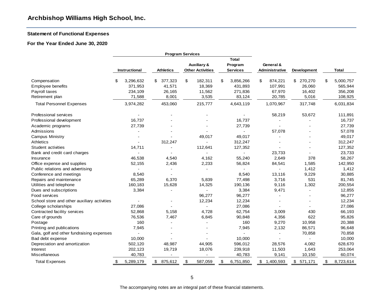## **Statement of Functional Expenses**

## **For the Year Ended June 30, 2020**

|                                             |                      | <b>Program Services</b> |                         |                 |                          |                    |                 |
|---------------------------------------------|----------------------|-------------------------|-------------------------|-----------------|--------------------------|--------------------|-----------------|
|                                             |                      |                         |                         | <b>Total</b>    |                          |                    |                 |
|                                             |                      |                         | <b>Auxiliary &amp;</b>  | Program         | General &                |                    |                 |
|                                             | <b>Instructional</b> | <b>Athletics</b>        | <b>Other Activities</b> | <b>Services</b> | <b>Administrative</b>    | <b>Development</b> | Total           |
| Compensation                                | 3,296,632<br>\$      | 377,323<br>\$           | \$<br>182,311           | 3,856,266<br>\$ | \$<br>874,221            | \$ 270,270         | 5,000,757<br>\$ |
| Employee benefits                           | 371,953              | 41,571                  | 18,369                  | 431,893         | 107,991                  | 26,060             | 565,944         |
| Payroll taxes                               | 234,109              | 26,165                  | 11,562                  | 271,836         | 67,970                   | 16,402             | 356,208         |
| Retirement plan                             | 71,588               | 8,001                   | 3,535                   | 83,124          | 20,785                   | 5,016              | 108,925         |
| <b>Total Personnel Expenses</b>             | 3,974,282            | 453,060                 | 215,777                 | 4,643,119       | 1,070,967                | 317,748            | 6,031,834       |
| Professional services                       |                      |                         |                         |                 | 58,219                   | 53,672             | 111,891         |
| Professional development                    | 16,737               |                         |                         | 16,737          |                          |                    | 16,737          |
| Academic programs                           | 27,739               |                         |                         | 27,739          | $\overline{\phantom{a}}$ |                    | 27,739          |
| Admissions                                  |                      |                         |                         |                 | 57,078                   |                    | 57,078          |
| <b>Campus Ministry</b>                      |                      |                         | 49,017                  | 49,017          |                          |                    | 49,017          |
| <b>Athletics</b>                            |                      | 312,247                 |                         | 312,247         |                          |                    | 312,247         |
| <b>Student activities</b>                   | 14,711               |                         | 112,641                 | 127,352         |                          |                    | 127,352         |
| Bank and credit card charges                |                      |                         |                         |                 | 23,733                   |                    | 23,733          |
| Insurance                                   | 46,538               | 4,540                   | 4,162                   | 55,240          | 2,649                    | 378                | 58,267          |
| Office expense and supplies                 | 52,155               | 2,436                   | 2,233                   | 56,824          | 84,541                   | 1,585              | 142,950         |
| Public relations and advertising            |                      |                         |                         |                 | $\overline{a}$           | 1,412              | 1,412           |
| Conference and meetings                     | 8,540                |                         |                         | 8,540           | 13,116                   | 9,229              | 30,885          |
| Repairs and maintenance                     | 65,289               | 6,370                   | 5,839                   | 77,498          | 3,716                    | 531                | 81,745          |
| Utilities and telephone                     | 160,183              | 15,628                  | 14,325                  | 190,136         | 9,116                    | 1,302              | 200,554         |
| Dues and subscriptions                      | 3,384                |                         |                         | 3,384           | 9,471                    |                    | 12,855          |
| Food services                               |                      |                         | 96,277                  | 96,277          | ÷,                       |                    | 96,277          |
| School store and other auxiliary activities |                      |                         | 12,234                  | 12,234          |                          |                    | 12,234          |
| College scholarships                        | 27,086               |                         |                         | 27,086          |                          |                    | 27,086          |
| Contracted facility services                | 52,868               | 5,158                   | 4,728                   | 62,754          | 3,009                    | 430                | 66,193          |
| Care of grounds                             | 76,536               | 7,467                   | 6,845                   | 90,848          | 4,356                    | 622                | 95,826          |
| Postage                                     | 160                  |                         |                         | 160             | 9,270                    | 10,958             | 20,388          |
| Printing and publications                   | 7,945                |                         |                         | 7,945           | 2,132                    | 86,571             | 96,648          |
| Gala, golf and other fundraising expenses   |                      |                         |                         |                 | $\overline{a}$           | 70,858             | 70,858          |
| Bad debt expense                            | 10,000               |                         |                         | 10,000          |                          |                    | 10,000          |
| Depreciation and amortization               | 502,120              | 48,987                  | 44,905                  | 596,012         | 28,576                   | 4,082              | 628,670         |
| Interest                                    | 202,123              | 19,719                  | 18,076                  | 239,918         | 11,503                   | 1,643              | 253,064         |
| Miscellaneous                               | 40,783               |                         |                         | 40,783          | 9,141                    | 10,150             | 60,074          |
| <b>Total Expenses</b>                       | \$<br>5,289,179      | 875,612<br>\$           | \$<br>587,059           | 6,751,850<br>\$ | \$1,400,593              | \$571,171          | 8,723,614<br>\$ |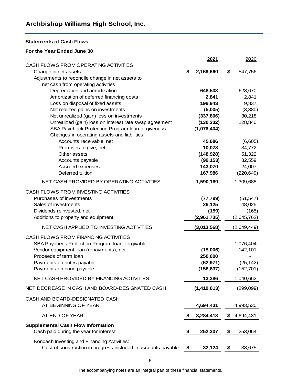#### **Statements of Cash Flows**

#### **For the Year Ended June 30**

|                                                                  | 2021                | 2020            |
|------------------------------------------------------------------|---------------------|-----------------|
| CASH FLOWS FROM OPERATING ACTIVITIES                             |                     |                 |
| Change in net assets                                             | \$<br>2,169,660     | \$<br>547,756   |
| Adjustments to reconcile change in net assets to                 |                     |                 |
| net cash from operating activities:                              |                     |                 |
| Depreciation and amortization                                    | 648,533             | 628,670         |
| Amortization of deferred financing costs                         | 2,841               | 2,841           |
| Loss on disposal of fixed assets                                 | 199,943             | 9,837           |
| Net realized gains on investments                                | (5,005)             | (3,880)         |
| Net unrealized (gain) loss on investments                        | (337, 806)          | 30,218          |
| Unrealized (gain) loss on interest rate swap agreement           | (130, 332)          | 128,840         |
| SBA Paycheck Protection Program Ioan forgiveness                 | (1,076,404)         |                 |
| Changes in operating assets and liabilities:                     |                     |                 |
| Accounts receivable, net                                         | 45,686              | (6,605)         |
| Promises to give, net                                            | 10,078              | 34,772          |
| Other assets                                                     | (148, 928)          | 51,322          |
| Accounts payable                                                 | (99, 153)           | 82,559          |
| Accrued expenses                                                 | 143,070             | 24,007          |
| Deferred tuition                                                 | 167,986             | (220, 649)      |
| NET CASH PROVIDED BY OPERATING ACTIVITIES                        | 1,590,169           | 1,309,688       |
| CASH FLOWS FROM INVESTING ACTIVITIES                             |                     |                 |
| Purchases of investments                                         | (77, 799)           | (51, 547)       |
| Sales of investments                                             | 26,125              | 48,025          |
| Dividends reinvested, net                                        | (159)               | (165)           |
| Additions to property and equipment                              | (2,961,735)         | (2,645,762)     |
| NET CASH APPLIED TO INVESTING ACTIVITIES                         | (3,013,568)         | (2,649,449)     |
|                                                                  |                     |                 |
| CASH FLOWS FROM FINANCING ACTIVITIES                             |                     |                 |
| SBA Paycheck Protection Program Ioan, forgivable                 |                     | 1,076,404       |
| Vendor equipment loan (repayments), net<br>Proceeds of term loan | (15,006)<br>250,000 | 142,101         |
|                                                                  | (62, 971)           |                 |
| Payments on notes payable<br>Payments on bond payable            |                     | (25, 142)       |
|                                                                  | (158, 637)          | (152, 701)      |
| NET CASH PROVIDED BY FINANCING ACTIVITIES                        | 13,386              | 1,040,662       |
| NET DECREASE IN CASH AND BOARD-DESIGNATED CASH                   | (1,410,013)         | (299,099)       |
| CASH AND BOARD-DESIGNATED CASH:                                  |                     |                 |
| AT BEGINNING OF YEAR                                             | 4,694,431           | 4,993,530       |
| AT END OF YEAR                                                   | \$<br>3,284,418     | \$<br>4,694,431 |
| <b>Supplemental Cash Flow Information</b>                        |                     |                 |
| Cash paid during the year for interest                           | \$<br>252,307       | \$<br>253,064   |
| Noncash Investing and Financing Activities:                      |                     |                 |
| Cost of construction in progress included in accounts payable    | \$<br>32,124        | \$<br>38,675    |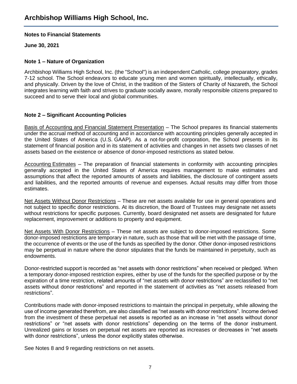## **Notes to Financial Statements**

**June 30, 2021**

## **Note 1 – Nature of Organization**

Archbishop Williams High School, Inc. (the "School") is an independent Catholic, college preparatory, grades 7-12 school. The School endeavors to educate young men and women spiritually, intellectually, ethically, and physically. Driven by the love of Christ, in the tradition of the Sisters of Charity of Nazareth, the School integrates learning with faith and strives to graduate socially aware, morally responsible citizens prepared to succeed and to serve their local and global communities.

## **Note 2 – Significant Accounting Policies**

Basis of Accounting and Financial Statement Presentation – The School prepares its financial statements under the accrual method of accounting and in accordance with accounting principles generally accepted in the United States of America (U.S. GAAP). As a not-for-profit corporation, the School presents in its statement of financial position and in its statement of activities and changes in net assets two classes of net assets based on the existence or absence of donor-imposed restrictions as stated below.

Accounting Estimates – The preparation of financial statements in conformity with accounting principles generally accepted in the United States of America requires management to make estimates and assumptions that affect the reported amounts of assets and liabilities, the disclosure of contingent assets and liabilities, and the reported amounts of revenue and expenses. Actual results may differ from those estimates.

Net Assets Without Donor Restrictions – These are net assets available for use in general operations and not subject to specific donor restrictions. At its discretion, the Board of Trustees may designate net assets without restrictions for specific purposes. Currently, board designated net assets are designated for future replacement, improvement or additions to property and equipment.

Net Assets With Donor Restrictions – These net assets are subject to donor-imposed restrictions. Some donor-imposed restrictions are temporary in nature, such as those that will be met with the passage of time, the occurrence of events or the use of the funds as specified by the donor. Other donor-imposed restrictions may be perpetual in nature where the donor stipulates that the funds be maintained in perpetuity, such as endowments.

Donor-restricted support is recorded as "net assets with donor restrictions" when received or pledged. When a temporary donor-imposed restriction expires, either by use of the funds for the specified purpose or by the expiration of a time restriction, related amounts of "net assets with donor restrictions" are reclassified to "net assets without donor restrictions" and reported in the statement of activities as "net assets released from restrictions".

Contributions made with donor-imposed restrictions to maintain the principal in perpetuity, while allowing the use of income generated therefrom, are also classified as "net assets with donor restrictions". Income derived from the investment of these perpetual net assets is reported as an increase in "net assets without donor restrictions" or "net assets with donor restrictions" depending on the terms of the donor instrument. Unrealized gains or losses on perpetual net assets are reported as increases or decreases in "net assets with donor restrictions", unless the donor explicitly states otherwise.

See Notes 8 and 9 regarding restrictions on net assets.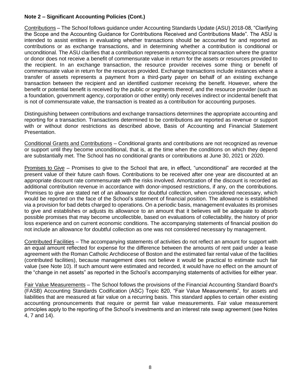## **Note 2 – Significant Accounting Policies (Cont.)**

Contributions – The School follows guidance under Accounting Standards Update (ASU) 2018-08, "Clarifying the Scope and the Accounting Guidance for Contributions Received and Contributions Made". The ASU is intended to assist entities in evaluating whether transactions should be accounted for and reported as contributions or as exchange transactions, and in determining whether a contribution is conditional or unconditional. The ASU clarifies that a contribution represents a nonreciprocal transaction where the grantor or donor does not receive a benefit of commensurate value in return for the assets or resources provided to the recipient. In an exchange transaction, the resource provider receives some thing or benefit of commensurate value in return for the resources provided. Exchange transactions include instances where a transfer of assets represents a payment from a third-party payer on behalf of an existing exchange transaction between the recipient and an identified customer receiving the benefit. However, where the benefit or potential benefit is received by the public or segments thereof, and the resource provider (such as a foundation, government agency, corporation or other entity) only receives indirect or incidental benefit that is not of commensurate value, the transaction is treated as a contribution for accounting purposes.

Distinguishing between contributions and exchange transactions determines the appropriate accounting and reporting for a transaction. Transactions determined to be contributions are reported as revenue or support with or without donor restrictions as described above, Basis of Accounting and Financial Statement Presentation.

Conditional Grants and Contributions – Conditional grants and contributions are not recognized as revenue or support until they become unconditional, that is, at the time when the conditions on which they depend are substantially met. The School has no conditional grants or contributions at June 30, 2021 or 2020.

Promises to Give – Promises to give to the School that are, in effect, "unconditional" are recorded at the present value of their future cash flows. Contributions to be received after one year are discounted at an appropriate discount rate commensurate with the risks involved. Amortization of the discount is recorded as additional contribution revenue in accordance with donor-imposed restrictions, if any, on the contributions. Promises to give are stated net of an allowance for doubtful collection, when considered necessary, which would be reported on the face of the School's statement of financial position. The allowance is established via a provision for bad debts charged to operations. On a periodic basis, management evaluates its promises to give and establishes or adjusts its allowance to an amount that it believes will be adequate to absorb possible promises that may become uncollectible, based on evaluations of collectability, the history of prior loss experience and on current economic conditions. The accompanying statements of financial position do not include an allowance for doubtful collection as one was not considered necessary by management.

Contributed Facilities – The accompanying statements of activities do not reflect an amount for support with an equal amount reflected for expense for the difference between the amounts of rent paid under a lease agreement with the Roman Catholic Archdiocese of Boston and the estimated fair rental value of the facilities (contributed facilities), because management does not believe it would be practical to estimate such fair value (see Note 10). If such amount were estimated and recorded, it would have no effect on the amount of the "change in net assets" as reported in the School's accompanying statements of activities for either year.

Fair Value Measurements – The School follows the provisions of the Financial Accounting Standard Board's (FASB) Accounting Standards Codification (ASC) Topic 820, "Fair Value Measurements", for assets and liabilities that are measured at fair value on a recurring basis. This standard applies to certain other existing accounting pronouncements that require or permit fair value measurements. Fair value measurement principles apply to the reporting of the School's investments and an interest rate swap agreement (see Notes 4, 7 and 14).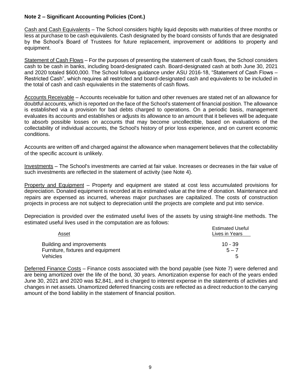## **Note 2 – Significant Accounting Policies (Cont.)**

Cash and Cash Equivalents – The School considers highly liquid deposits with maturities of three months or less at purchase to be cash equivalents. Cash designated by the board consists of funds that are designated by the School's Board of Trustees for future replacement, improvement or additions to property and equipment.

Statement of Cash Flows – For the purposes of presenting the statement of cash flows, the School considers cash to be cash in banks, including board-designated cash. Board-designated cash at both June 30, 2021 and 2020 totaled \$600,000. The School follows guidance under ASU 2016-18, "Statement of Cash Flows – Restricted Cash", which requires all restricted and board-designated cash and equivalents to be included in the total of cash and cash equivalents in the statements of cash flows.

Accounts Receivable – Accounts receivable for tuition and other revenues are stated net of an allowance for doubtful accounts, which is reported on the face of the School's statement of financial position. The allowance is established via a provision for bad debts charged to operations. On a periodic basis, management evaluates its accounts and establishes or adjusts its allowance to an amount that it believes will be adequate to absorb possible losses on accounts that may become uncollectible, based on evaluations of the collectability of individual accounts, the School's history of prior loss experience, and on current economic conditions.

Accounts are written off and charged against the allowance when management believes that the collectability of the specific account is unlikely.

Investments – The School's investments are carried at fair value. Increases or decreases in the fair value of such investments are reflected in the statement of activity (see Note 4).

Property and Equipment – Property and equipment are stated at cost less accumulated provisions for depreciation. Donated equipment is recorded at its estimated value at the time of donation. Maintenance and repairs are expensed as incurred, whereas major purchases are capitalized. The costs of construction projects in process are not subject to depreciation until the projects are complete and put into service.

Depreciation is provided over the estimated useful lives of the assets by using straight-line methods. The estimated useful lives used in the computation are as follows:

| Asset                             | <b>Estimated Useful</b><br>Lives in Years |
|-----------------------------------|-------------------------------------------|
| Building and improvements         | $10 - 39$                                 |
| Furniture, fixtures and equipment | $5 - 7$                                   |
| Vehicles                          | 5                                         |

Deferred Finance Costs - Finance costs associated with the bond payable (see Note 7) were deferred and are being amortized over the life of the bond, 30 years. Amortization expense for each of the years ended June 30, 2021 and 2020 was \$2,841, and is charged to interest expense in the statements of activities and changes in net assets. Unamortized deferred financing costs are reflected as a direct reduction to the carrying amount of the bond liability in the statement of financial position.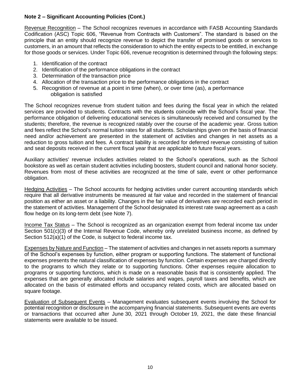## **Note 2 – Significant Accounting Policies (Cont.)**

Revenue Recognition – The School recognizes revenues in accordance with FASB Accounting Standards Codification (ASC) Topic 606, "Revenue from Contracts with Customers". The standard is based on the principle that an entity should recognize revenue to depict the transfer of promised goods or services to customers, in an amount that reflects the consideration to which the entity expects to be entitled, in exchange for those goods or services. Under Topic 606, revenue recognition is determined through the following steps:

- 1. Identification of the contract
- 2. Identification of the performance obligations in the contract
- 3. Determination of the transaction price
- 4. Allocation of the transaction price to the performance obligations in the contract
- 5. Recognition of revenue at a point in time (when), or over time (as), a performance obligation is satisfied

The School recognizes revenue from student tuition and fees during the fiscal year in which the related services are provided to students. Contracts with the students coincide with the School's fiscal year. The performance obligation of delivering educational services is simultaneously received and consumed by the students; therefore, the revenue is recognized ratably over the course of the academic year. Gross tuition and fees reflect the School's normal tuition rates for all students. Scholarships given on the basis of financial need and/or achievement are presented in the statement of activities and changes in net assets as a reduction to gross tuition and fees. A contract liability is recorded for deferred revenue consisting of tuition and seat deposits received in the current fiscal year that are applicable to future fiscal years.

Auxiliary activities' revenue includes activities related to the School's operations, such as the School bookstore as well as certain student activities including boosters, student council and national honor society. Revenues from most of these activities are recognized at the time of sale, event or other performance obligation.

Hedging Activities – The School accounts for hedging activities under current accounting standards which require that all derivative instruments be measured at fair value and recorded in the statement of financial position as either an asset or a liability. Changes in the fair value of derivatives are recorded each period in the statement of activities. Management of the School designated its interest rate swap agreement as a cash flow hedge on its long-term debt (see Note 7).

Income Tax Status – The School is recognized as an organization exempt from federal income tax under Section 501(c)(3) of the Internal Revenue Code, whereby only unrelated business income, as defined by Section 512(a)(1) of the Code, is subject to federal income tax.

Expenses by Nature and Function – The statement of activities and changes in net assets reports a summary of the School's expenses by function, either program or supporting functions. The statement of functional expenses presents the natural classification of expenses by function. Certain expenses are charged directly to the programs to which they relate or to supporting functions. Other expenses require allocation to programs or supporting functions, which is made on a reasonable basis that is consistently applied. The expenses that are generally allocated include salaries and wages, payroll taxes and benefits, which are allocated on the basis of estimated efforts and occupancy related costs, which are allocated based on square footage.

Evaluation of Subsequent Events – Management evaluates subsequent events involving the School for potential recognition or disclosure in the accompanying financial statements. Subsequent events are events or transactions that occurred after June 30, 2021 through October 19, 2021, the date these financial statements were available to be issued.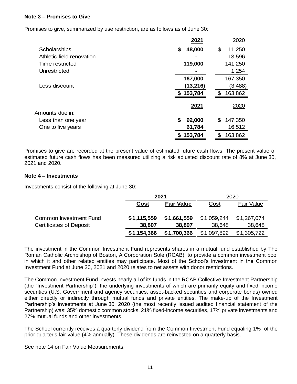## **Note 3 – Promises to Give**

Promises to give, summarized by use restriction, are as follows as of June 30:

|                           | 2021          | 2020          |
|---------------------------|---------------|---------------|
| Scholarships              | 48,000<br>\$  | \$<br>11,250  |
| Athletic field renovation |               | 13,596        |
| Time restricted           | 119,000       | 141,250       |
| Unrestricted              |               | 1,254         |
|                           | 167,000       | 167,350       |
| Less discount             | (13, 216)     | (3,488)       |
|                           | 153,784<br>\$ | \$<br>163,862 |
|                           | 2021          | 2020          |
| Amounts due in:           |               |               |
| Less than one year        | 92,000<br>S   | \$<br>147,350 |
| One to five years         | 61,784        | 16,512        |
|                           | 153,784<br>S  | \$<br>163,862 |

Promises to give are recorded at the present value of estimated future cash flows. The present value of estimated future cash flows has been measured utilizing a risk adjusted discount rate of 8% at June 30, 2021 and 2020.

## **Note 4 – Investments**

Investments consist of the following at June 30:

|                                |                           | 2021        |             | 2020              |
|--------------------------------|---------------------------|-------------|-------------|-------------------|
|                                | <b>Fair Value</b><br>Cost |             | Cost        | <b>Fair Value</b> |
| Common Investment Fund         | \$1,115,559               | \$1,661,559 | \$1,059,244 | \$1,267,074       |
| <b>Certificates of Deposit</b> | 38,807                    | 38,807      | 38,648      | 38,648            |
|                                | \$1,154,366               | \$1,700,366 | \$1,097,892 | \$1,305,722       |

The investment in the Common Investment Fund represents shares in a mutual fund established by The Roman Catholic Archbishop of Boston, A Corporation Sole (RCAB), to provide a common investment pool in which it and other related entities may participate. Most of the School's investment in the Common Investment Fund at June 30, 2021 and 2020 relates to net assets with donor restrictions.

The Common Investment Fund invests nearly all of its funds in the RCAB Collective Investment Partnership (the "Investment Partnership"), the underlying investments of which are primarily equity and fixed income securities (U.S. Government and agency securities, asset-backed securities and corporate bonds) owned either directly or indirectly through mutual funds and private entities. The make-up of the Investment Partnership's investments at June 30, 2020 (the most recently issued audited financial statement of the Partnership) was: 35% domestic common stocks, 21% fixed-income securities, 17% private investments and 27% mutual funds and other investments.

The School currently receives a quarterly dividend from the Common Investment Fund equaling 1% of the prior quarter's fair value (4% annually). These dividends are reinvested on a quarterly basis.

See note 14 on Fair Value Measurements.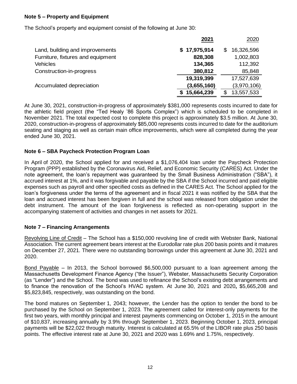## **Note 5 – Property and Equipment**

The School's property and equipment consist of the following at June 30:

|                                   | 2021         | 2020             |
|-----------------------------------|--------------|------------------|
| Land, building and improvements   | \$17,975,914 | 16,326,596<br>\$ |
| Furniture, fixtures and equipment | 828,308      | 1,002,803        |
| <b>Vehicles</b>                   | 134,365      | 112,392          |
| Construction-in-progress          | 380,812      | 85,848           |
|                                   | 19,319,399   | 17,527,639       |
| Accumulated depreciation          | (3,655,160)  | (3,970,106)      |
|                                   | 15,664,239   | 13,557,533       |

At June 30, 2021, construction-in-progress of approximately \$381,000 represents costs incurred to date for the athletic field project (the "Ted Healy '86 Sports Complex") which is scheduled to be completed in November 2021. The total expected cost to complete this project is approximately \$3.5 million. At June 30, 2020, construction-in-progress of approximately \$85,000 represents costs incurred to date for the auditorium seating and staging as well as certain main office improvements, which were all completed during the year ended June 30, 2021.

## **Note 6 – SBA Paycheck Protection Program Loan**

In April of 2020, the School applied for and received a \$1,076,404 loan under the Paycheck Protection Program (PPP) established by the Coronavirus Aid, Relief, and Economic Security (CARES) Act. Under the note agreement, the loan's repayment was guaranteed by the Small Business Administration ("SBA"), it accrued interest at 1%, and it was forgivable and payable by the SBA if the School incurred and paid eligible expenses such as payroll and other specified costs as defined in the CARES Act. The School applied for the loan's forgiveness under the terms of the agreement and in fiscal 2021 it was notified by the SBA that the loan and accrued interest has been forgiven in full and the school was released from obligation under the debt instrument. The amount of the loan forgiveness is reflected as non-operating support in the accompanying statement of activities and changes in net assets for 2021.

## **Note 7 – Financing Arrangements**

Revolving Line of Credit – The School has a \$150,000 revolving line of credit with Webster Bank, National Association. The current agreement bears interest at the Eurodollar rate plus 200 basis points and it matures on December 27, 2021. There were no outstanding borrowings under this agreement at June 30, 2021 and 2020.

Bond Payable – In 2013, the School borrowed \$6,500,000 pursuant to a loan agreement among the Massachusetts Development Finance Agency ("the Issuer"), Webster, Massachusetts Security Corporation (as "Lender") and the School. The bond was used to refinance the School's existing debt arrangements and to finance the renovation of the School's HVAC system. At June 30, 2021 and 2020**,** \$5,665,208 and \$5,823,845, respectively, was outstanding on the bond.

The bond matures on September 1, 2043; however, the Lender has the option to tender the bond to be purchased by the School on September 1, 2023. The agreement called for interest-only payments for the first two years, with monthly principal and interest payments commencing on October 1, 2015 in the amount of \$10,837, increasing annually by 3.9% through September 1, 2023. Beginning October 1, 2023, principal payments will be \$22,022 through maturity. Interest is calculated at 65.5% of the LIBOR rate plus 250 basis points. The effective interest rate at June 30, 2021 and 2020 was 1.69% and 1.75%, respectively.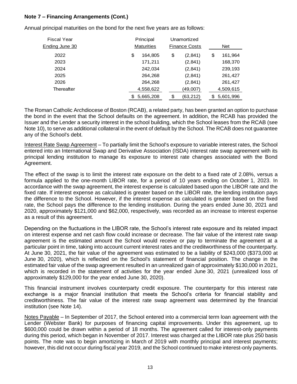## **Note 7 – Financing Arrangements (Cont.)**

Annual principal maturities on the bond for the next five years are as follows:

| <b>Fiscal Year</b> |    | Principal         |    | Unamortized |    |                      |  |  |  |            |
|--------------------|----|-------------------|----|-------------|----|----------------------|--|--|--|------------|
| Ending June 30     |    | <b>Maturities</b> |    |             |    | <b>Finance Costs</b> |  |  |  | <b>Net</b> |
| 2022               | \$ | 164,805           | \$ | (2,841)     | \$ | 161,964              |  |  |  |            |
| 2023               |    | 171,211           |    | (2,841)     |    | 168,370              |  |  |  |            |
| 2024               |    | 242,034           |    | (2, 841)    |    | 239,193              |  |  |  |            |
| 2025               |    | 264,268           |    | (2,841)     |    | 261,427              |  |  |  |            |
| 2026               |    | 264,268           |    | (2,841)     |    | 261,427              |  |  |  |            |
| Thereafter         |    | 4,558,622         |    | (49,007)    |    | 4,509,615            |  |  |  |            |
|                    |    | 5,665,208         | \$ | (63, 212)   | S. | 5,601,996            |  |  |  |            |

The Roman Catholic Archdiocese of Boston (RCAB), a related party, has been granted an option to purchase the bond in the event that the School defaults on the agreement. In addition, the RCAB has provided the Issuer and the Lender a security interest in the school building, which the School leases from the RCAB (see Note 10), to serve as additional collateral in the event of default by the School. The RCAB does not guarantee any of the School's debt.

Interest Rate Swap Agreement – To partially limit the School's exposure to variable interest rates, the School entered into an International Swap and Derivative Association (ISDA) interest rate swap agreement with its principal lending institution to manage its exposure to interest rate changes associated with the Bond Agreement.

The effect of the swap is to limit the interest rate exposure on the debt to a fixed rate of 2.08%, versus a formula applied to the one-month LIBOR rate, for a period of 10 years ending on October 1, 2023. In accordance with the swap agreement, the interest expense is calculated based upon the LIBOR rate and the fixed rate. If interest expense as calculated is greater based on the LIBOR rate, the lending institution pays the difference to the School. However, if the interest expense as calculated is greater based on the fixed rate, the School pays the difference to the lending institution. During the years ended June 30, 2021 and 2020, approximately \$121,000 and \$62,000, respectively, was recorded as an increase to interest expense as a result of this agreement.

Depending on the fluctuations in the LIBOR rate, the School's interest rate exposure and its related impact on interest expense and net cash flow could increase or decrease. The fair value of the interest rate swap agreement is the estimated amount the School would receive or pay to terminate the agreement at a particular point in time, taking into account current interest rates and the creditworthiness of the counterparty. At June 30, 2021, the fair value of the agreement was estimated to be a liability of \$243,000 (\$373,000 at June 30, 2020), which is reflected on the School's statement of financial position. The change in the estimated fair value of the swap agreement resulted in an unrealized gain of approximately \$130,000 in 2021, which is recorded in the statement of activities for the year ended June 30, 2021 (unrealized loss of approximately \$129,000 for the year ended June 30, 2020).

This financial instrument involves counterparty credit exposure. The counterparty for this interest rate exchange is a major financial institution that meets the School's criteria for financial stability and creditworthiness. The fair value of the interest rate swap agreement was determined by the financial institution (see Note 14).

Notes Payable – In September of 2017, the School entered into a commercial term loan agreement with the Lender (Webster Bank) for purposes of financing capital improvements. Under this agreement, up to \$600,000 could be drawn within a period of 18 months. The agreement called for interest-only payments during this period, which began in November of 2017. Interest was charged at the LIBOR rate plus 250 basis points. The note was to begin amortizing in March of 2019 with monthly principal and interest payments; however, this did not occur during fiscal year 2019, and the School continued to make interest-only payments.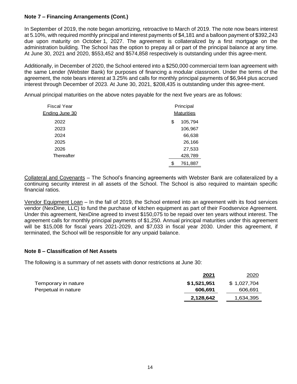## **Note 7 – Financing Arrangements (Cont.)**

In September of 2019, the note began amortizing, retroactive to March of 2019. The note now bears interest at 5.10%, with required monthly principal and interest payments of \$4,181 and a balloon payment of \$392,243 due upon maturity on October 1, 2027. The agreement is collateralized by a first mortgage on the administration building. The School has the option to prepay all or part of the principal balance at any time. At June 30, 2021 and 2020, \$553,452 and \$574,858 respectively is outstanding under this agree-ment.

Additionally, in December of 2020, the School entered into a \$250,000 commercial term loan agreement with the same Lender (Webster Bank) for purposes of financing a modular classroom. Under the terms of the agreement, the note bears interest at 3.25% and calls for monthly principal payments of \$6,944 plus accrued interest through December of 2023. At June 30, 2021, \$208,435 is outstanding under this agree-ment.

Annual principal maturities on the above notes payable for the next five years are as follows:

| <b>Fiscal Year</b> | Principal         |  |
|--------------------|-------------------|--|
| Ending June 30     | <b>Maturities</b> |  |
| 2022               | \$<br>105,794     |  |
| 2023               | 106,967           |  |
| 2024               | 66,638            |  |
| 2025               | 26,166            |  |
| 2026               | 27,533            |  |
| Thereafter         | 428,789           |  |
|                    | \$<br>761,887     |  |

Collateral and Covenants – The School's financing agreements with Webster Bank are collateralized by a continuing security interest in all assets of the School. The School is also required to maintain specific financial ratios.

Vendor Equipment Loan – In the fall of 2019, the School entered into an agreement with its food services vendor (NexDine, LLC) to fund the purchase of kitchen equipment as part of their Foodservice Agreement. Under this agreement, NexDine agreed to invest \$150,075 to be repaid over ten years without interest. The agreement calls for monthly principal payments of \$1,250. Annual principal maturities under this agreement will be \$15,008 for fiscal years 2021-2029, and \$7,033 in fiscal year 2030. Under this agreement, if terminated, the School will be responsible for any unpaid balance.

## **Note 8 – Classification of Net Assets**

The following is a summary of net assets with donor restrictions at June 30:

|                     | 2021        | 2020        |
|---------------------|-------------|-------------|
| Temporary in nature | \$1,521,951 | \$1,027,704 |
| Perpetual in nature | 606,691     | 606,691     |
|                     | 2,128,642   | 1,634,395   |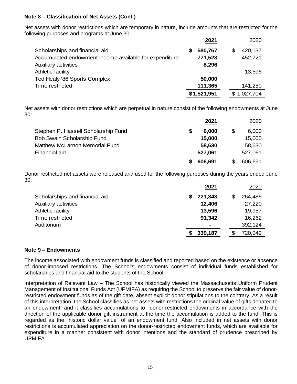## **Note 8 – Classification of Net Assets (Cont.)**

Net assets with donor restrictions which are temporary in nature, include amounts that are restricted for the following purposes and programs at June 30:

|                                                        | 2021         | 2020        |
|--------------------------------------------------------|--------------|-------------|
| Scholarships and financial aid                         | 580,767<br>S | 420,137     |
| Accumulated endowment income available for expenditure | 771,523      | 452,721     |
| <b>Auxiliary activities</b>                            | 8,296        |             |
| Athletic facility                                      | -            | 13,596      |
| Ted Healy '86 Sports Complex                           | 50,000       |             |
| Time restricted                                        | 111,365      | 141,250     |
|                                                        | \$1,521,951  | \$1,027,704 |

Net assets with donor restrictions which are perpetual in nature consist of the following endowments at June 30:

|                                     |   | 2021    | 2020        |
|-------------------------------------|---|---------|-------------|
| Stephen P. Hassell Scholarship Fund | S | 6.000   | \$<br>6,000 |
| Bob Swain Scholarship Fund          |   | 15,000  | 15,000      |
| Matthew McLarnon Memorial Fund      |   | 58,630  | 58,630      |
| Financial aid                       |   | 527,061 | 527,061     |
|                                     |   | 606,691 | 606,691     |

Donor restricted net assets were released and used for the following purposes during the years ended June 30:

|                                |   | 2021    | 2020          |
|--------------------------------|---|---------|---------------|
| Scholarships and financial aid | S | 221,843 | \$<br>264,486 |
| <b>Auxiliary activities</b>    |   | 12,406  | 27,220        |
| Athletic facility              |   | 13,596  | 19,957        |
| Time restricted                |   | 91,342  | 16,262        |
| Auditorium                     |   |         | 392,124       |
|                                |   | 339,187 | 720,049       |

## **Note 9 – Endowments**

The income associated with endowment funds is classified and reported based on the existence or absence of donor-imposed restrictions. The School's endowments consist of individual funds established for scholarships and financial aid to the students of the School.

Interpretation of Relevant Law – The School has historically viewed the Massachusetts Uniform Prudent Management of Institutional Funds Act (UPMIFA) as requiring the School to preserve the fair value of donorrestricted endowment funds as of the gift date, absent explicit donor stipulations to the contrary. As a result of this interpretation, the School classifies as net assets with restrictions the original value of gifts donated to an endowment, and it classifies accumulations to donor-restricted endowments in accordance with the direction of the applicable donor gift instrument at the time the accumulation is added to the fund. This is regarded as the "historic dollar value" of an endowment fund. Also included in net assets with donor restrictions is accumulated appreciation on the donor-restricted endowment funds, which are available for expenditure in a manner consistent with donor intentions and the standard of prudence prescribed by UPMIFA.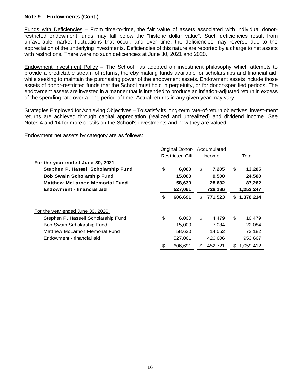## **Note 9 – Endowments (Cont.)**

Funds with Deficiencies – From time-to-time, the fair value of assets associated with individual donorrestricted endowment funds may fall below the "historic dollar value". Such deficiencies result from unfavorable market fluctuations that occur, and over time, the deficiencies may reverse due to the appreciation of the underlying investments. Deficiencies of this nature are reported by a charge to net assets with restrictions. There were no such deficiencies at June 30, 2021 and 2020.

Endowment Investment Policy – The School has adopted an investment philosophy which attempts to provide a predictable stream of returns, thereby making funds available for scholarships and financial aid, while seeking to maintain the purchasing power of the endowment assets. Endowment assets include those assets of donor-restricted funds that the School must hold in perpetuity, or for donor-specified periods. The endowment assets are invested in a manner that is intended to produce an inflation-adjusted return in excess of the spending rate over a long period of time. Actual returns in any given year may vary.

Strategies Employed for Achieving Objectives – To satisfy its long-term rate-of-return objectives, invest-ment returns are achieved through capital appreciation (realized and unrealized) and dividend income. See Notes 4 and 14 for more details on the School's investments and how they are valued.

Endowment net assets by category are as follows:

|                                       | <b>Original Donor-</b> |    | Accumulated |     |              |
|---------------------------------------|------------------------|----|-------------|-----|--------------|
|                                       | <b>Restricted Gift</b> |    | Income      |     | <b>Total</b> |
| For the year ended June 30, 2021:     |                        |    |             |     |              |
| Stephen P. Hassell Scholarship Fund   | \$<br>6,000            | \$ | 7,205       | \$  | 13,205       |
| <b>Bob Swain Scholarship Fund</b>     | 15,000                 |    | 9,500       |     | 24,500       |
| <b>Matthew McLarnon Memorial Fund</b> | 58,630                 |    | 28,632      |     | 87,262       |
| Endowment - financial aid             | 527,061                |    | 726,186     |     | 1,253,247    |
|                                       | 606,691                | S  | 771,523     | S.  | 1,378,214    |
| For the year ended June 30, 2020:     |                        |    |             |     |              |
| Stephen P. Hassell Scholarship Fund   | \$<br>6.000            | \$ | 4.479       | \$  | 10,479       |
| Bob Swain Scholarship Fund            | 15,000                 |    | 7,084       |     | 22,084       |
| Matthew McLarnon Memorial Fund        | 58,630                 |    | 14,552      |     | 73,182       |
| Endowment - financial aid             | 527,061                |    | 426,606     |     | 953,667      |
|                                       | \$<br>606,691          | \$ | 452.721     | \$. | 1,059,412    |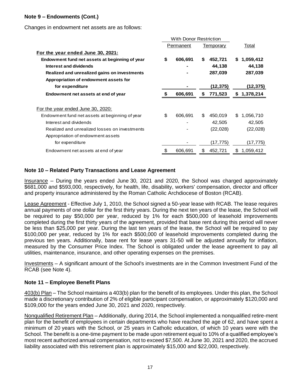## **Note 9 – Endowments (Cont.)**

Changes in endowment net assets are as follows:

|                                                | <b>With Donor Restriction</b> |         |           |           |     |           |
|------------------------------------------------|-------------------------------|---------|-----------|-----------|-----|-----------|
|                                                | Permanent                     |         | Temporary |           |     | Total     |
| For the year ended June 30, 2021:              |                               |         |           |           |     |           |
| Endowment fund net assets at beginning of year | \$                            | 606,691 | \$        | 452,721   | S.  | 1,059,412 |
| Interest and dividends                         |                               |         |           | 44,138    |     | 44,138    |
| Realized and unrealized gains on investments   |                               |         |           | 287,039   |     | 287,039   |
| Appropriation of endowment assets for          |                               |         |           |           |     |           |
| for expenditure                                |                               |         |           | (12, 375) |     | (12,375)  |
| Endowment net assets at end of year            | S                             | 606,691 | \$        | 771,523   | \$  | 1,378,214 |
| <u>For the year ended June 30, 2020:</u>       |                               |         |           |           |     |           |
| Endowment fund net assets at beginning of year | \$                            | 606,691 | \$        | 450,019   | \$. | 1,056,710 |
| Interest and dividends                         |                               |         |           | 42,505    |     | 42,505    |
| Realized and unrealized losses on investments  |                               |         |           | (22, 028) |     | (22, 028) |
| Appropriation of endowment assets              |                               |         |           |           |     |           |
| for expenditure                                |                               |         |           | (17, 775) |     | (17,775)  |
| Endowment net assets at end of year            |                               | 606,691 | S         | 452,721   | S   | 1,059,412 |

## **Note 10 – Related Party Transactions and Lease Agreement**

Insurance – During the years ended June 30, 2021 and 2020, the School was charged approximately \$681,000 and \$593,000, respectively, for health, life, disability, workers' compensation, director and officer and property insurance administered by the Roman Catholic Archdiocese of Boston (RCAB).

Lease Agreement - Effective July 1, 2010, the School signed a 50-year lease with RCAB. The lease requires annual payments of one dollar for the first thirty years. During the next ten years of the lease, the School will be required to pay \$50,000 per year, reduced by 1% for each \$500,000 of leasehold improvements completed during the first thirty years of the agreement, provided that base rent during this period will never be less than \$25,000 per year. During the last ten years of the lease, the School will be required to pay \$100,000 per year, reduced by 1% for each \$500,000 of leasehold improvements completed during the previous ten years. Additionally, base rent for lease years 31-50 will be adjusted annually for inflation, measured by the Consumer Price Index. The School is obligated under the lease agreement to pay all utilities, maintenance, insurance, and other operating expenses on the premises.

Investments – A significant amount of the School's investments are in the Common Investment Fund of the RCAB (see Note 4).

#### **Note 11 – Employee Benefit Plans**

403(b) Plan – The School maintains a 403(b) plan for the benefit of its employees. Under this plan, the School made a discretionary contribution of 2% of eligible participant compensation, or approximately \$120,000 and \$109,000 for the years ended June 30, 2021 and 2020, respectively.

Nonqualified Retirement Plan – Additionally, during 2014, the School implemented a nonqualified retire-ment plan for the benefit of employees in certain departments who have reached the age of 62, and have spent a minimum of 20 years with the School, or 25 years in Catholic education, of which 10 years were with the School. The benefit is a one-time payment to be made upon retirement equal to 10% of a qualified employee's most recent authorized annual compensation, not to exceed \$7,500. At June 30, 2021 and 2020, the accrued liability associated with this retirement plan is approximately \$15,000 and \$22,000, respectively.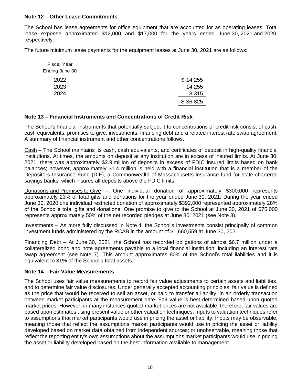## **Note 12 – Other Lease Commitments**

The School has lease agreements for office equipment that are accounted for as operating leases. Total lease expense approximated \$12,000 and \$17,000 for the years ended June 30, 2021 and 2020, respectively.

The future minimum lease payments for the equipment leases at June 30, 2021 are as follows:

| <b>Fiscal Year</b> |          |
|--------------------|----------|
| Ending June 30     |          |
| 2022               | \$14,255 |
| 2023               | 14,255   |
| 2024               | 8,315    |
|                    | \$36,825 |

## **Note 13 – Financial Instruments and Concentrations of Credit Risk**

The School's financial instruments that potentially subject it to concentrations of credit risk consist of cash, cash equivalents, promises to give, investments, financing debt and a related interest rate swap agreement. A summary of financial instrument and other concentrations follows.

Cash – The School maintains its cash, cash equivalents, and certificates of deposit in high-quality financial institutions. At times, the amounts on deposit at any institution are in excess of insured limits. At June 30, 2021, there was approximately \$2.9 million of deposits in excess of FDIC insured limits based on bank balances; however, approximately \$1.4 million is held with a financial institution that is a member of the Depositors Insurance Fund (DIF), a Commonwealth of Massachusetts insurance fund for state-chartered savings banks, which insures all deposits above the FDIC limits.

Donations and Promises to Give – One individual donation of approximately \$300,000 represents approximately 23% of total gifts and donations for the year ended June 30, 2021. During the year ended June 30, 2020 one individual restricted donation of approximately \$392,000 represented approximately 28% of the School's total gifts and donations. One promise to give to the School at June 30, 2021 of \$75,000 represents approximately 50% of the net recorded pledges at June 30, 2021 (see Note 3).

Investments – As more fully discussed in Note 4, the School's investments consist principally of common investment funds administered by the RCAB in the amount of \$1,660,559 at June 30, 2021.

Financing Debt – At June 30, 2021, the School has recorded obligations of almost \$6.7 million under a collateralized bond and note agreements payable to a local financial institution, including an interest rate swap agreement (see Note 7). This amount approximates 80% of the School's total liabilities and it is equivalent to 31% of the School's total assets.

## **Note 14 – Fair Value Measurements**

The School uses fair value measurements to record fair value adjustments to certain assets and liabilities, and to determine fair value disclosures. Under generally accepted accounting principles, fair value is defined as the price that would be received to sell an asset, or paid to transfer a liability, in an orderly transaction between market participants at the measurement date. Fair value is best determined based upon quoted market prices. However, in many instances quoted market prices are not available; therefore, fair values are based upon estimates using present value or other valuation techniques. Inputs to valuation techniques refer to assumptions that market participants would use in pricing the asset or liability. Inputs may be observable, meaning those that reflect the assumptions market participants would use in pricing the asset or liability developed based on market data obtained from independent sources; or unobservable, meaning those that reflect the reporting entity's own assumptions about the assumptions market participants would use in pricing the asset or liability developed based on the best information available to management.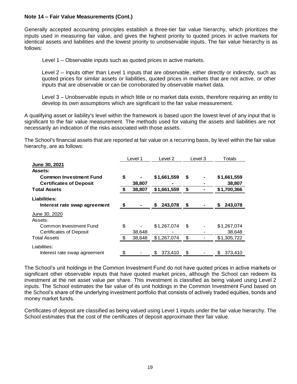#### **Note 14 – Fair Value Measurements (Cont.)**

Generally accepted accounting principles establish a three-tier fair value hierarchy, which prioritizes the inputs used in measuring fair value, and gives the highest priority to quoted prices in active markets for identical assets and liabilities and the lowest priority to unobservable inputs. The fair value hierarchy is as follows:

Level 1 – Observable inputs such as quoted prices in active markets.

Level 2 – Inputs other than Level 1 inputs that are observable, either directly or indirectly, such as quoted prices for similar assets or liabilities, quoted prices in markets that are not active, or other inputs that are observable or can be corroborated by observable market data.

Level 3 – Unobservable inputs in which little or no market data exists, therefore requiring an entity to develop its own assumptions which are significant to the fair value measurement.

A qualifying asset or liability's level within the framework is based upon the lowest level of any input that is significant to the fair value measurement. The methods used for valuing the assets and liabilities are not necessarily an indication of the risks associated with those assets.

The School's financial assets that are reported at fair value on a recurring basis, by level within the fair value hierarchy, are as follows:

|                                |    | Level 1 | Level 2      | Level 3 | Totals       |
|--------------------------------|----|---------|--------------|---------|--------------|
| June 30, 2021                  |    |         |              |         |              |
| <b>Assets:</b>                 |    |         |              |         |              |
| <b>Common Investment Fund</b>  | \$ |         | \$1,661,559  | \$      | \$1,661,559  |
| <b>Certificates of Deposit</b> |    | 38,807  |              |         | 38,807       |
| <b>Total Assets</b>            | £. | 38,807  | \$1,661,559  | \$      | \$1,700,366  |
| Liabilities:                   |    |         |              |         |              |
| Interest rate swap agreement   | \$ |         | 243,078<br>S | \$      | 243,078<br>S |
| June 30, 2020                  |    |         |              |         |              |
| Assets:                        |    |         |              |         |              |
| Common Investment Fund         | \$ |         | \$1,267,074  | \$      | \$1,267,074  |
| Certificates of Deposit        |    | 38,648  |              |         | 38,648       |
| <b>Total Assets</b>            | \$ | 38,648  | \$1,267,074  | \$      | \$1,305,722  |
| Liabilities:                   |    |         |              |         |              |
| Interest rate swap agreement   | \$ |         | 373.410      | \$      | 373.410      |

The School's unit holdings in the Common Investment Fund do not have quoted prices in active markets or significant other observable inputs that have quoted market prices, although the School can redeem its investment at the net asset value per share. This investment is classified as being valued using Level 2 inputs. The School estimates the fair value of its unit holdings in the Common Investment Fund based on the School's share of the underlying investment portfolio that consists of actively traded equities, bonds and money market funds.

Certificates of deposit are classified as being valued using Level 1 inputs under the fair value hierarchy. The School estimates that the cost of the certificates of deposit approximate their fair value.